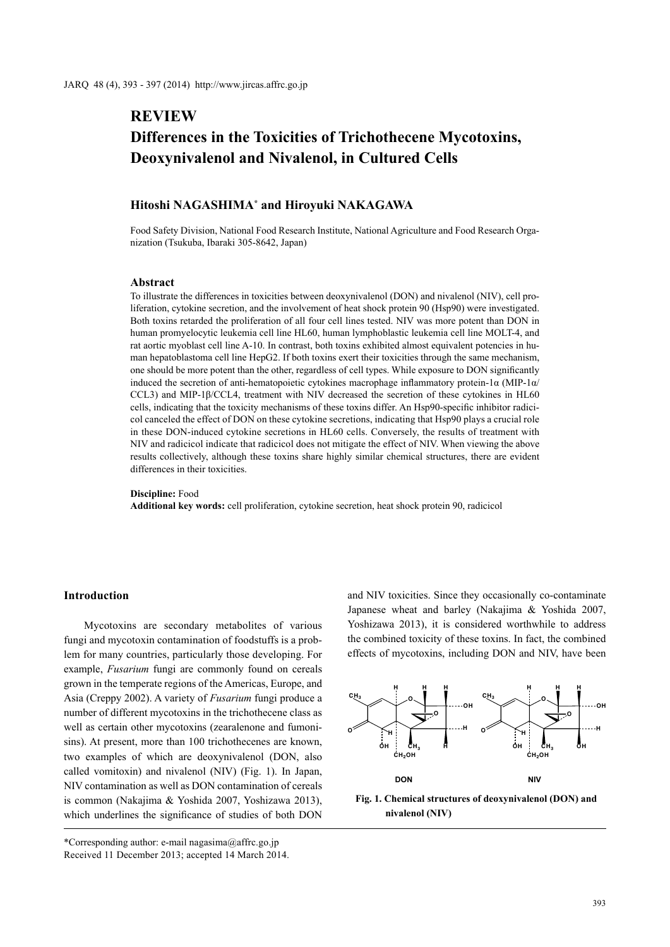# **REVIEW Differences in the Toxicities of Trichothecene Mycotoxins, Deoxynivalenol and Nivalenol, in Cultured Cells**

# **Hitoshi NAGASHIMA\* and Hiroyuki NAKAGAWA**

Food Safety Division, National Food Research Institute, National Agriculture and Food Research Organization (Tsukuba, Ibaraki 305-8642, Japan)

#### **Abstract**

To illustrate the differences in toxicities between deoxynivalenol (DON) and nivalenol (NIV), cell proliferation, cytokine secretion, and the involvement of heat shock protein 90 (Hsp90) were investigated. Both toxins retarded the proliferation of all four cell lines tested. NIV was more potent than DON in human promyelocytic leukemia cell line HL60, human lymphoblastic leukemia cell line MOLT-4, and rat aortic myoblast cell line A-10. In contrast, both toxins exhibited almost equivalent potencies in human hepatoblastoma cell line HepG2. If both toxins exert their toxicities through the same mechanism, one should be more potent than the other, regardless of cell types. While exposure to DON significantly induced the secretion of anti-hematopoietic cytokines macrophage inflammatory protein-1 $\alpha$  (MIP-1 $\alpha$ ) CCL3) and MIP-1β/CCL4, treatment with NIV decreased the secretion of these cytokines in HL60 cells, indicating that the toxicity mechanisms of these toxins differ. An Hsp90-specific inhibitor radicicol canceled the effect of DON on these cytokine secretions, indicating that Hsp90 plays a crucial role in these DON-induced cytokine secretions in HL60 cells. Conversely, the results of treatment with NIV and radicicol indicate that radicicol does not mitigate the effect of NIV. When viewing the above results collectively, although these toxins share highly similar chemical structures, there are evident differences in their toxicities.

#### **Discipline:** Food

**Additional key words:** cell proliferation, cytokine secretion, heat shock protein 90, radicicol

# **Introduction**

Mycotoxins are secondary metabolites of various fungi and mycotoxin contamination of foodstuffs is a problem for many countries, particularly those developing. For example, *Fusarium* fungi are commonly found on cereals grown in the temperate regions of the Americas, Europe, and Asia (Creppy 2002). A variety of *Fusarium* fungi produce a number of different mycotoxins in the trichothecene class as well as certain other mycotoxins (zearalenone and fumonisins). At present, more than 100 trichothecenes are known, two examples of which are deoxynivalenol (DON, also called vomitoxin) and nivalenol (NIV) (Fig. 1). In Japan, NIV contamination as well as DON contamination of cereals is common (Nakajima & Yoshida 2007, Yoshizawa 2013), which underlines the significance of studies of both DON

\*Corresponding author: e-mail nagasima@affrc.go.jp Received 11 December 2013; accepted 14 March 2014. and NIV toxicities. Since they occasionally co-contaminate Japanese wheat and barley (Nakajima & Yoshida 2007, Yoshizawa 2013), it is considered worthwhile to address the combined toxicity of these toxins. In fact, the combined effects of mycotoxins, including DON and NIV, have been



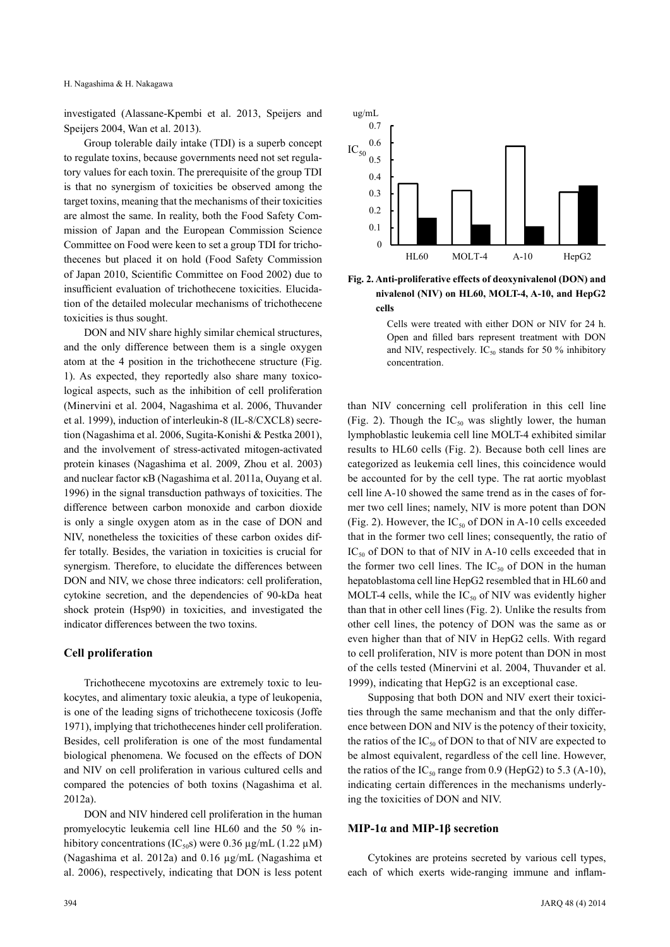investigated (Alassane-Kpembi et al. 2013, Speijers and Speijers 2004, Wan et al. 2013).

Group tolerable daily intake (TDI) is a superb concept to regulate toxins, because governments need not set regulatory values for each toxin. The prerequisite of the group TDI is that no synergism of toxicities be observed among the target toxins, meaning that the mechanisms of their toxicities are almost the same. In reality, both the Food Safety Commission of Japan and the European Commission Science Committee on Food were keen to set a group TDI for trichothecenes but placed it on hold (Food Safety Commission of Japan 2010, Scientific Committee on Food 2002) due to insufficient evaluation of trichothecene toxicities. Elucidation of the detailed molecular mechanisms of trichothecene toxicities is thus sought.

DON and NIV share highly similar chemical structures, and the only difference between them is a single oxygen atom at the 4 position in the trichothecene structure (Fig. 1). As expected, they reportedly also share many toxicological aspects, such as the inhibition of cell proliferation (Minervini et al. 2004, Nagashima et al. 2006, Thuvander et al. 1999), induction of interleukin-8 (IL-8/CXCL8) secretion (Nagashima et al. 2006, Sugita-Konishi & Pestka 2001), and the involvement of stress-activated mitogen-activated protein kinases (Nagashima et al. 2009, Zhou et al. 2003) and nuclear factor κΒ (Nagashima et al. 2011a, Ouyang et al. 1996) in the signal transduction pathways of toxicities. The difference between carbon monoxide and carbon dioxide is only a single oxygen atom as in the case of DON and NIV, nonetheless the toxicities of these carbon oxides differ totally. Besides, the variation in toxicities is crucial for synergism. Therefore, to elucidate the differences between DON and NIV, we chose three indicators: cell proliferation, cytokine secretion, and the dependencies of 90-kDa heat shock protein (Hsp90) in toxicities, and investigated the indicator differences between the two toxins.

## **Cell proliferation**

Trichothecene mycotoxins are extremely toxic to leukocytes, and alimentary toxic aleukia, a type of leukopenia, is one of the leading signs of trichothecene toxicosis (Joffe 1971), implying that trichothecenes hinder cell proliferation. Besides, cell proliferation is one of the most fundamental biological phenomena. We focused on the effects of DON and NIV on cell proliferation in various cultured cells and compared the potencies of both toxins (Nagashima et al. 2012a).

DON and NIV hindered cell proliferation in the human promyelocytic leukemia cell line HL60 and the 50 % inhibitory concentrations (IC<sub>50</sub>S) were 0.36  $\mu$ g/mL (1.22  $\mu$ M) (Nagashima et al. 2012a) and 0.16 µg/mL (Nagashima et al. 2006), respectively, indicating that DON is less potent



**Fig. 2. Anti-proliferative effects of deoxynivalenol (DON) and nivalenol (NIV) on HL60, MOLT-4, A-10, and HepG2 cells**

Cells were treated with either DON or NIV for 24 h. Open and filled bars represent treatment with DON and NIV, respectively.  $IC_{50}$  stands for 50 % inhibitory concentration.

than NIV concerning cell proliferation in this cell line (Fig. 2). Though the  $IC_{50}$  was slightly lower, the human lymphoblastic leukemia cell line MOLT-4 exhibited similar results to HL60 cells (Fig. 2). Because both cell lines are categorized as leukemia cell lines, this coincidence would be accounted for by the cell type. The rat aortic myoblast cell line A-10 showed the same trend as in the cases of former two cell lines; namely, NIV is more potent than DON (Fig. 2). However, the  $IC_{50}$  of DON in A-10 cells exceeded that in the former two cell lines; consequently, the ratio of  $IC_{50}$  of DON to that of NIV in A-10 cells exceeded that in the former two cell lines. The  $IC_{50}$  of DON in the human hepatoblastoma cell line HepG2 resembled that in HL60 and MOLT-4 cells, while the  $IC_{50}$  of NIV was evidently higher than that in other cell lines (Fig. 2). Unlike the results from other cell lines, the potency of DON was the same as or even higher than that of NIV in HepG2 cells. With regard to cell proliferation, NIV is more potent than DON in most of the cells tested (Minervini et al. 2004, Thuvander et al. 1999), indicating that HepG2 is an exceptional case.

Supposing that both DON and NIV exert their toxicities through the same mechanism and that the only difference between DON and NIV is the potency of their toxicity, the ratios of the  $IC_{50}$  of DON to that of NIV are expected to be almost equivalent, regardless of the cell line. However, the ratios of the  $IC_{50}$  range from 0.9 (HepG2) to 5.3 (A-10), indicating certain differences in the mechanisms underlying the toxicities of DON and NIV.

### **MIP-1α and MIP-1β secretion**

Cytokines are proteins secreted by various cell types, each of which exerts wide-ranging immune and inflam-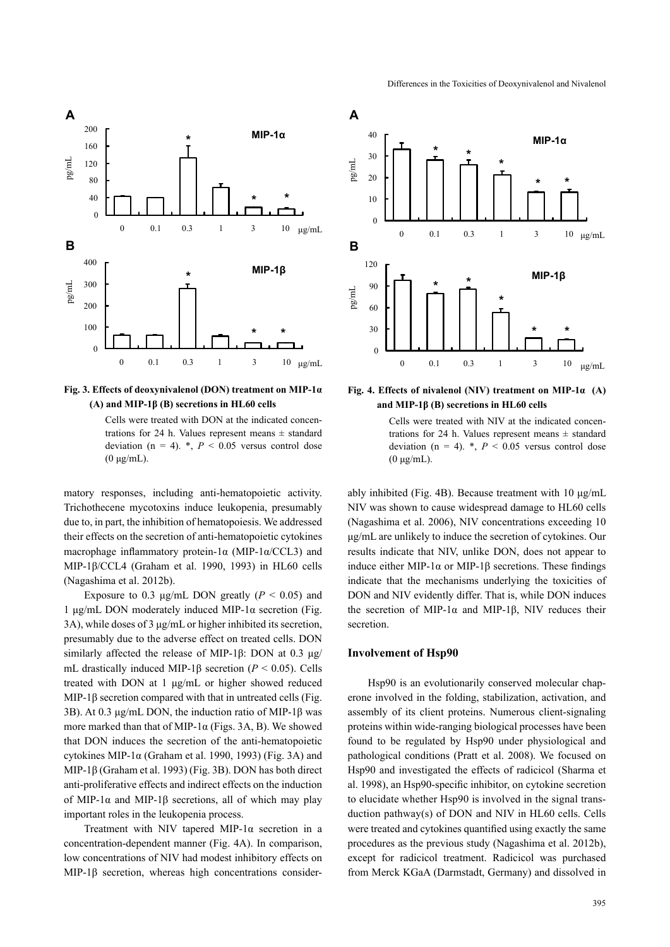

**Fig. 3. Effects of deoxynivalenol (DON) treatment on MIP-1α (A) and MIP-1β (B) secretions in HL60 cells**

Cells were treated with DON at the indicated concentrations for 24 h. Values represent means  $\pm$  standard deviation ( $n = 4$ ). \*,  $P < 0.05$  versus control dose (0 μg/mL).

matory responses, including anti-hematopoietic activity. Trichothecene mycotoxins induce leukopenia, presumably due to, in part, the inhibition of hematopoiesis. We addressed their effects on the secretion of anti-hematopoietic cytokines macrophage inflammatory protein-1 $\alpha$  (MIP-1 $\alpha$ /CCL3) and MIP-1β/CCL4 (Graham et al. 1990, 1993) in HL60 cells (Nagashima et al. 2012b).

Exposure to 0.3  $\mu$ g/mL DON greatly ( $P < 0.05$ ) and 1 μg/mL DON moderately induced MIP-1α secretion (Fig. 3A), while doses of 3 μg/mL or higher inhibited its secretion, presumably due to the adverse effect on treated cells. DON similarly affected the release of MIP-1β: DON at 0.3 μg/ mL drastically induced MIP-1β secretion (*P* < 0.05). Cells treated with DON at 1 μg/mL or higher showed reduced MIP-1β secretion compared with that in untreated cells (Fig. 3B). At 0.3 μg/mL DON, the induction ratio of MIP-1β was more marked than that of MIP-1 $\alpha$  (Figs. 3A, B). We showed that DON induces the secretion of the anti-hematopoietic cytokines MIP-1 $\alpha$  (Graham et al. 1990, 1993) (Fig. 3A) and MIP-1β (Graham et al. 1993) (Fig. 3B). DON has both direct anti-proliferative effects and indirect effects on the induction of MIP-1 $\alpha$  and MIP-1 $\beta$  secretions, all of which may play important roles in the leukopenia process.

Treatment with NIV tapered MIP-1α secretion in a concentration-dependent manner (Fig. 4A). In comparison, low concentrations of NIV had modest inhibitory effects on MIP-1β secretion, whereas high concentrations consider-



**Fig. 4. Effects of nivalenol (NIV) treatment on MIP-1α (A) and MIP-1β (B) secretions in HL60 cells**

Cells were treated with NIV at the indicated concentrations for 24 h. Values represent means  $\pm$  standard deviation ( $n = 4$ ).  $\ast$ ,  $P < 0.05$  versus control dose (0 μg/mL).

ably inhibited (Fig. 4B). Because treatment with 10 μg/mL NIV was shown to cause widespread damage to HL60 cells (Nagashima et al. 2006), NIV concentrations exceeding 10 μg/mL are unlikely to induce the secretion of cytokines. Our results indicate that NIV, unlike DON, does not appear to induce either MIP-1α or MIP-1β secretions. These findings indicate that the mechanisms underlying the toxicities of DON and NIV evidently differ. That is, while DON induces the secretion of MIP-1 $α$  and MIP-1 $β$ , NIV reduces their secretion.

# **Involvement of Hsp90**

Hsp90 is an evolutionarily conserved molecular chaperone involved in the folding, stabilization, activation, and assembly of its client proteins. Numerous client-signaling proteins within wide-ranging biological processes have been found to be regulated by Hsp90 under physiological and pathological conditions (Pratt et al. 2008). We focused on Hsp90 and investigated the effects of radicicol (Sharma et al. 1998), an Hsp90-specific inhibitor, on cytokine secretion to elucidate whether Hsp90 is involved in the signal transduction pathway(s) of DON and NIV in HL60 cells. Cells were treated and cytokines quantified using exactly the same procedures as the previous study (Nagashima et al. 2012b), except for radicicol treatment. Radicicol was purchased from Merck KGaA (Darmstadt, Germany) and dissolved in

#### Differences in the Toxicities of Deoxynivalenol and Nivalenol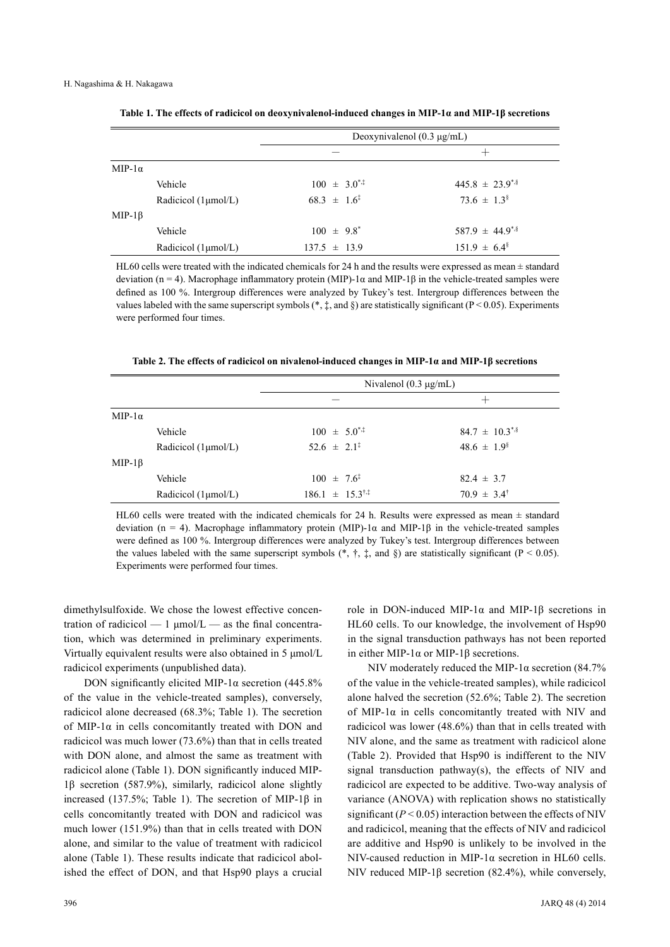|                |                                  | Deoxynivalenol $(0.3 \mu g/mL)$ |                           |                                  |  |
|----------------|----------------------------------|---------------------------------|---------------------------|----------------------------------|--|
|                |                                  |                                 |                           | $\pm$                            |  |
| MIP- $1\alpha$ |                                  |                                 |                           |                                  |  |
|                | Vehicle                          |                                 | $100 \pm 3.0^{*,}$        | $445.8 \pm 23.9$ <sup>*</sup>    |  |
|                | Radicicol $(1 \mu \text{mol/L})$ |                                 | $68.3 \pm 1.6^{\ddagger}$ | $73.6 \pm 1.3^8$                 |  |
| $MIP-1\beta$   |                                  |                                 |                           |                                  |  |
|                | Vehicle                          |                                 | $100 \pm 9.8^*$           | $587.9 \pm 44.9$ <sup>*,\$</sup> |  |
|                | Radicicol $(1 \mu \text{mol/L})$ |                                 | $137.5 \pm 13.9$          | $151.9 \pm 6.4^{\circ}$          |  |

**Table 1. The effects of radicicol on deoxynivalenol-induced changes in MIP-1α and MIP-1β secretions**

HL60 cells were treated with the indicated chemicals for 24 h and the results were expressed as mean  $\pm$  standard deviation (n = 4). Macrophage inflammatory protein (MIP)-1α and MIP-1β in the vehicle-treated samples were defined as 100 %. Intergroup differences were analyzed by Tukey's test. Intergroup differences between the values labeled with the same superscript symbols (\*,  $\ddagger$ , and §) are statistically significant (P < 0.05). Experiments were performed four times.

**Table 2. The effects of radicicol on nivalenol-induced changes in MIP-1α and MIP-1β secretions**

|                |                                  | Nivalenol $(0.3 \mu g/mL)$          |                                |  |  |
|----------------|----------------------------------|-------------------------------------|--------------------------------|--|--|
|                |                                  |                                     | $^{\mathrm{+}}$                |  |  |
| MIP- $1\alpha$ |                                  |                                     |                                |  |  |
|                | Vehicle                          | $100 \pm 5.0$ <sup>*</sup>          | $84.7 \pm 10.3$ <sup>*,§</sup> |  |  |
|                | Radicicol $(1 \mu \text{mol/L})$ | $52.6 \pm 2.1^{\ddagger}$           | $48.6 \pm 1.9^{\circ}$         |  |  |
| $MIP-1\beta$   |                                  |                                     |                                |  |  |
|                | Vehicle                          | $100 \pm 7.6^{\ddagger}$            | $82.4 \pm 3.7$                 |  |  |
|                | Radicicol $(1 \mu \text{mol/L})$ | $186.1 \pm 15.3^{\dagger,\ddagger}$ | $70.9 \pm 3.4^{\dagger}$       |  |  |

HL60 cells were treated with the indicated chemicals for 24 h. Results were expressed as mean  $\pm$  standard deviation (n = 4). Macrophage inflammatory protein (MIP)-1α and MIP-1β in the vehicle-treated samples were defined as 100 %. Intergroup differences were analyzed by Tukey's test. Intergroup differences between the values labeled with the same superscript symbols  $(*, *, *,$  and §) are statistically significant (P < 0.05). Experiments were performed four times.

dimethylsulfoxide. We chose the lowest effective concentration of radicicol  $-1 \mu$ mol/L  $-$  as the final concentration, which was determined in preliminary experiments. Virtually equivalent results were also obtained in 5 μmol/L radicicol experiments (unpublished data).

DON significantly elicited MIP-1α secretion (445.8%) of the value in the vehicle-treated samples), conversely, radicicol alone decreased (68.3%; Table 1). The secretion of MIP-1 $\alpha$  in cells concomitantly treated with DON and radicicol was much lower (73.6%) than that in cells treated with DON alone, and almost the same as treatment with radicicol alone (Table 1). DON significantly induced MIP-1β secretion (587.9%), similarly, radicicol alone slightly increased (137.5%; Table 1). The secretion of MIP-1 $\beta$  in cells concomitantly treated with DON and radicicol was much lower (151.9%) than that in cells treated with DON alone, and similar to the value of treatment with radicicol alone (Table 1). These results indicate that radicicol abolished the effect of DON, and that Hsp90 plays a crucial role in DON-induced MIP-1α and MIP-1β secretions in HL60 cells. To our knowledge, the involvement of Hsp90 in the signal transduction pathways has not been reported in either MIP-1α or MIP-1β secretions.

NIV moderately reduced the MIP-1 $\alpha$  secretion (84.7%) of the value in the vehicle-treated samples), while radicicol alone halved the secretion (52.6%; Table 2). The secretion of MIP-1α in cells concomitantly treated with NIV and radicicol was lower (48.6%) than that in cells treated with NIV alone, and the same as treatment with radicicol alone (Table 2). Provided that Hsp90 is indifferent to the NIV signal transduction pathway(s), the effects of NIV and radicicol are expected to be additive. Two-way analysis of variance (ANOVA) with replication shows no statistically significant  $(P < 0.05)$  interaction between the effects of NIV and radicicol, meaning that the effects of NIV and radicicol are additive and Hsp90 is unlikely to be involved in the NIV-caused reduction in MIP-1α secretion in HL60 cells. NIV reduced MIP-1β secretion (82.4%), while conversely,